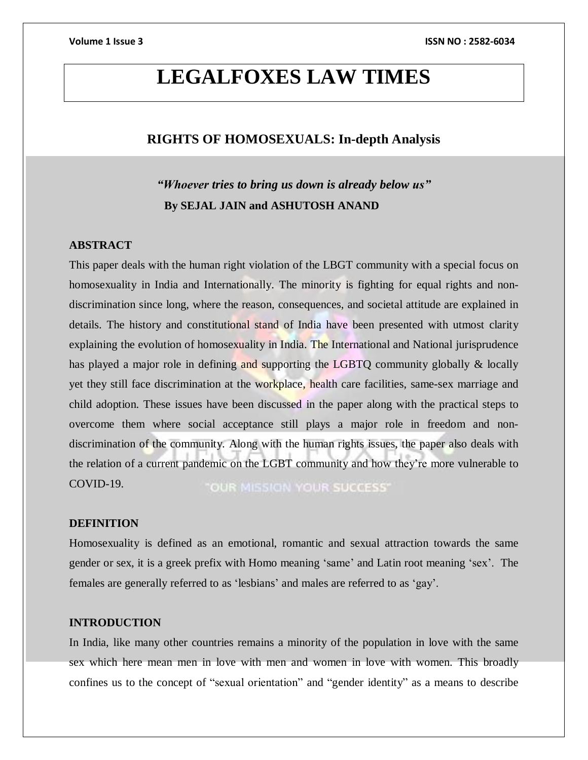# **LEGALFOXES LAW TIMES**

## **RIGHTS OF HOMOSEXUALS: In-depth Analysis**

## *"Whoever tries to bring us down is already below us"*  **By SEJAL JAIN and ASHUTOSH ANAND**

### **ABSTRACT**

This paper deals with the human right violation of the LBGT community with a special focus on homosexuality in India and Internationally. The minority is fighting for equal rights and nondiscrimination since long, where the reason, consequences, and societal attitude are explained in details. The history and constitutional stand of India have been presented with utmost clarity explaining the evolution of homosexuality in India. The International and National jurisprudence has played a major role in defining and supporting the LGBTQ community globally & locally yet they still face discrimination at the workplace, health care facilities, same-sex marriage and child adoption. These issues have been discussed in the paper along with the practical steps to overcome them where social acceptance still plays a major role in freedom and nondiscrimination of the community. Along with the human rights issues, the paper also deals with the relation of a current pandemic on the LGBT community and how they're more vulnerable to COVID-19. "OUR MISSION YOUR SUCCESS"

### **DEFINITION**

Homosexuality is defined as an emotional, romantic and sexual attraction towards the same gender or sex, it is a greek prefix with Homo meaning 'same' and Latin root meaning 'sex'. The females are generally referred to as 'lesbians' and males are referred to as 'gay'.

## **INTRODUCTION**

In India, like many other countries remains a minority of the population in love with the same sex which here mean men in love with men and women in love with women. This broadly confines us to the concept of "sexual orientation" and "gender identity" as a means to describe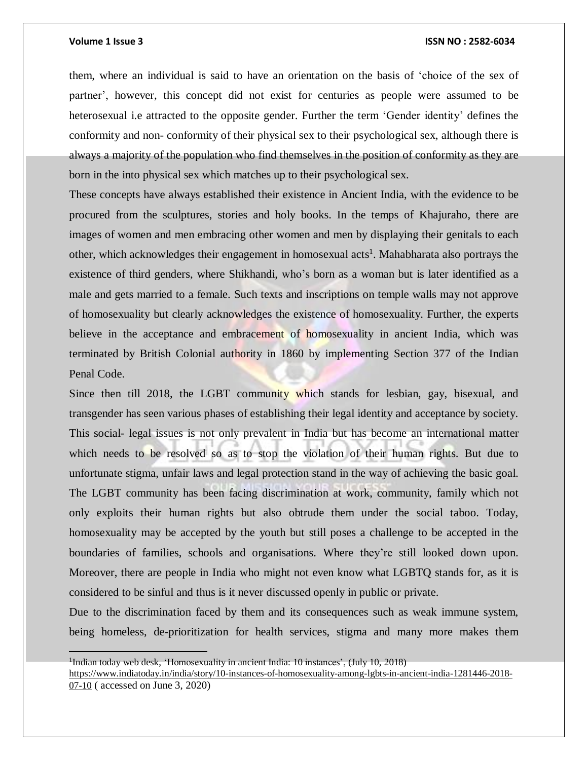### **Volume 1 Issue 3 ISSN NO : 2582-6034**

them, where an individual is said to have an orientation on the basis of 'choice of the sex of partner', however, this concept did not exist for centuries as people were assumed to be heterosexual i.e attracted to the opposite gender. Further the term 'Gender identity' defines the conformity and non- conformity of their physical sex to their psychological sex, although there is always a majority of the population who find themselves in the position of conformity as they are born in the into physical sex which matches up to their psychological sex.

These concepts have always established their existence in Ancient India, with the evidence to be procured from the sculptures, stories and holy books. In the temps of Khajuraho, there are images of women and men embracing other women and men by displaying their genitals to each other, which acknowledges their engagement in homosexual acts<sup>1</sup>. Mahabharata also portrays the existence of third genders, where Shikhandi, who's born as a woman but is later identified as a male and gets married to a female. Such texts and inscriptions on temple walls may not approve of homosexuality but clearly acknowledges the existence of homosexuality. Further, the experts believe in the acceptance and embracement of homosexuality in ancient India, which was terminated by British Colonial authority in 1860 by implementing Section 377 of the Indian Penal Code.

Since then till 2018, the LGBT community which stands for lesbian, gay, bisexual, and transgender has seen various phases of establishing their legal identity and acceptance by society. This social- legal issues is not only prevalent in India but has become an international matter which needs to be resolved so as to stop the violation of their human rights. But due to unfortunate stigma, unfair laws and legal protection stand in the way of achieving the basic goal. The LGBT community has been facing discrimination at work, community, family which not only exploits their human rights but also obtrude them under the social taboo. Today, homosexuality may be accepted by the youth but still poses a challenge to be accepted in the boundaries of families, schools and organisations. Where they're still looked down upon. Moreover, there are people in India who might not even know what LGBTQ stands for, as it is considered to be sinful and thus is it never discussed openly in public or private.

Due to the discrimination faced by them and its consequences such as weak immune system, being homeless, de-prioritization for health services, stigma and many more makes them

<sup>&</sup>lt;sup>1</sup>Indian today web desk, 'Homosexuality in ancient India: 10 instances', (July 10, 2018)

[https://www.indiatoday.in/india/story/10-instances-of-homosexuality-among-lgbts-in-ancient-india-1281446-2018-](https://www.indiatoday.in/india/story/10-instances-of-homosexuality-among-lgbts-in-ancient-india-1281446-2018-07-10) [07-10](https://www.indiatoday.in/india/story/10-instances-of-homosexuality-among-lgbts-in-ancient-india-1281446-2018-07-10) ( accessed on June 3, 2020)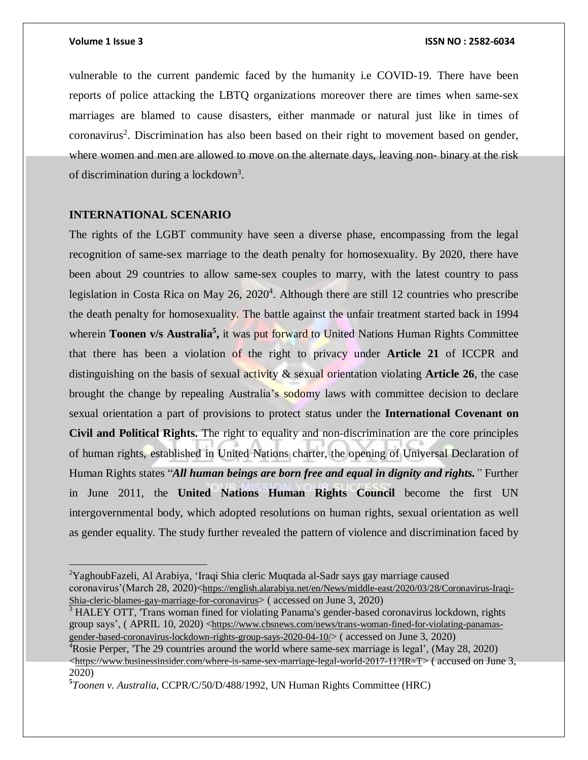vulnerable to the current pandemic faced by the humanity i.e COVID-19. There have been reports of police attacking the LBTQ organizations moreover there are times when same-sex marriages are blamed to cause disasters, either manmade or natural just like in times of coronavirus<sup>2</sup>. Discrimination has also been based on their right to movement based on gender, where women and men are allowed to move on the alternate days, leaving non- binary at the risk of discrimination during a lockdown<sup>3</sup>.

### **INTERNATIONAL SCENARIO**

The rights of the LGBT community have seen a diverse phase, encompassing from the legal recognition of same-sex marriage to the death penalty for homosexuality. By 2020, there have been about 29 countries to allow same-sex couples to marry, with the latest country to pass legislation in Costa Rica on May 26, 2020<sup>4</sup>. Although there are still 12 countries who prescribe the death penalty for homosexuality. The battle against the unfair treatment started back in 1994 wherein **Toonen v/s Australia<sup>5</sup> ,** it was put forward to United Nations Human Rights Committee that there has been a violation of the right to privacy under **Article 21** of ICCPR and distinguishing on the basis of sexual activity & sexual orientation violating **Article 26**, the case brought the change by repealing Australia's sodomy laws with committee decision to declare sexual orientation a part of provisions to protect status under the **International Covenant on Civil and Political Rights.** The right to equality and non-discrimination are the core principles of human rights, established in United Nations charter, the opening of Universal Declaration of Human Rights states "*All human beings are born free and equal in dignity and rights."* Further in June 2011, the **United Nations Human Rights Council** become the first UN intergovernmental body, which adopted resolutions on human rights, sexual orientation as well as gender equality. The study further revealed the pattern of violence and discrimination faced by

<sup>&</sup>lt;sup>2</sup>YaghoubFazeli, Al Arabiya, 'Iraqi Shia cleric Muqtada al-Sadr says gay marriage caused coronavirus'(March 28, 2020)<[https://english.alarabiya.net/en/News/middle-east/2020/03/28/Coronavirus-Iraqi-](https://english.alarabiya.net/en/News/middle-east/2020/03/28/Coronavirus-Iraqi-Shia-cleric-blames-gay-marriage-for-coronavirus)[Shia-cleric-blames-gay-marriage-for-coronavirus](https://english.alarabiya.net/en/News/middle-east/2020/03/28/Coronavirus-Iraqi-Shia-cleric-blames-gay-marriage-for-coronavirus)> ( accessed on June 3, 2020)

<sup>&</sup>lt;sup>3</sup> HALEY OTT, 'Trans woman fined for violating Panama's gender-based coronavirus lockdown, rights group says', (APRIL 10, 2020) <[https://www.cbsnews.com/news/trans-woman-fined-for-violating-panamas](https://www.cbsnews.com/news/trans-woman-fined-for-violating-panamas-gender-based-coronavirus-lockdown-rights-group-says-2020-04-10/)[gender-based-coronavirus-lockdown-rights-group-says-2020-04-10/](https://www.cbsnews.com/news/trans-woman-fined-for-violating-panamas-gender-based-coronavirus-lockdown-rights-group-says-2020-04-10/)> ( accessed on June 3, 2020)

<sup>&</sup>lt;sup>4</sup>Rosie Perper, 'The 29 countries around the world where same-sex marriage is legal', (May 28, 2020)  $\lt$ <https://www.businessinsider.com/where-is-same-sex-marriage-legal-world-2017-11?IR=T>> ( accused on June 3, 2020)

**<sup>5</sup>** *Toonen v. Australia*, CCPR/C/50/D/488/1992, UN Human Rights Committee (HRC)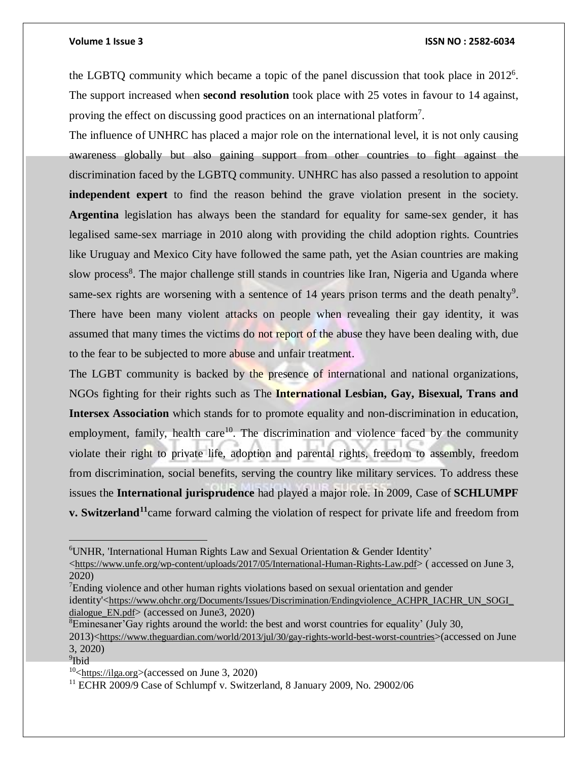the LGBTQ community which became a topic of the panel discussion that took place in 2012<sup>6</sup>. The support increased when **second resolution** took place with 25 votes in favour to 14 against, proving the effect on discussing good practices on an international platform<sup>7</sup>.

The influence of UNHRC has placed a major role on the international level, it is not only causing awareness globally but also gaining support from other countries to fight against the discrimination faced by the LGBTQ community. UNHRC has also passed a resolution to appoint **independent expert** to find the reason behind the grave violation present in the society. **Argentina** legislation has always been the standard for equality for same-sex gender, it has legalised same-sex marriage in 2010 along with providing the child adoption rights. Countries like Uruguay and Mexico City have followed the same path, yet the Asian countries are making slow process<sup>8</sup>. The major challenge still stands in countries like Iran, Nigeria and Uganda where same-sex rights are worsening with a sentence of  $14$  years prison terms and the death penalty<sup>9</sup>. There have been many violent attacks on people when revealing their gay identity, it was assumed that many times the victims do not report of the abuse they have been dealing with, due to the fear to be subjected to more abuse and unfair treatment.

The LGBT community is backed by the presence of international and national organizations, NGOs fighting for their rights such as The **International Lesbian, Gay, Bisexual, Trans and Intersex Association** which stands for to promote equality and non-discrimination in education, employment, family, health care<sup>10</sup>. The discrimination and violence faced by the community violate their right to private life, adoption and parental rights, freedom to assembly, freedom from discrimination, social benefits, serving the country like military services. To address these issues the **International jurisprudence** had played a major role. In 2009, Case of **SCHLUMPF v. Switzerland<sup>11</sup>**came forward calming the violation of respect for private life and freedom from

 $\overline{a}$ 

<sup>6</sup>UNHR, 'International Human Rights Law and Sexual Orientation & Gender Identity'

<sup>&</sup>lt;<https://www.unfe.org/wp-content/uploads/2017/05/International-Human-Rights-Law.pdf>> ( accessed on June 3, 2020)

<sup>&</sup>lt;sup>7</sup>Ending violence and other human rights violations based on sexual orientation and gender identity'<[https://www.ohchr.org/Documents/Issues/Discrimination/Endingviolence\\_ACHPR\\_IACHR\\_UN\\_SOGI\\_](https://www.ohchr.org/Documents/Issues/Discrimination/Endingviolence_ACHPR_IACHR_UN_SOGI_dialogue_EN.pdf) [dialogue\\_EN.pdf](https://www.ohchr.org/Documents/Issues/Discrimination/Endingviolence_ACHPR_IACHR_UN_SOGI_dialogue_EN.pdf)> (accessed on June3, 2020)

 ${}^8$ Eminesaner'Gay rights around the world: the best and worst countries for equality' (July 30,

<sup>2013)&</sup>lt;<https://www.theguardian.com/world/2013/jul/30/gay-rights-world-best-worst-countries>>(accessed on June 3, 2020)

<sup>&</sup>lt;sup>9</sup>Ibid

 $10$ <sup>-10</sup>  $\lt$ [https://ilga.org](https://ilga.org/)>(accessed on June 3, 2020)

<sup>&</sup>lt;sup>11</sup> ECHR 2009/9 Case of Schlumpf v. Switzerland, 8 January 2009, No. 29002/06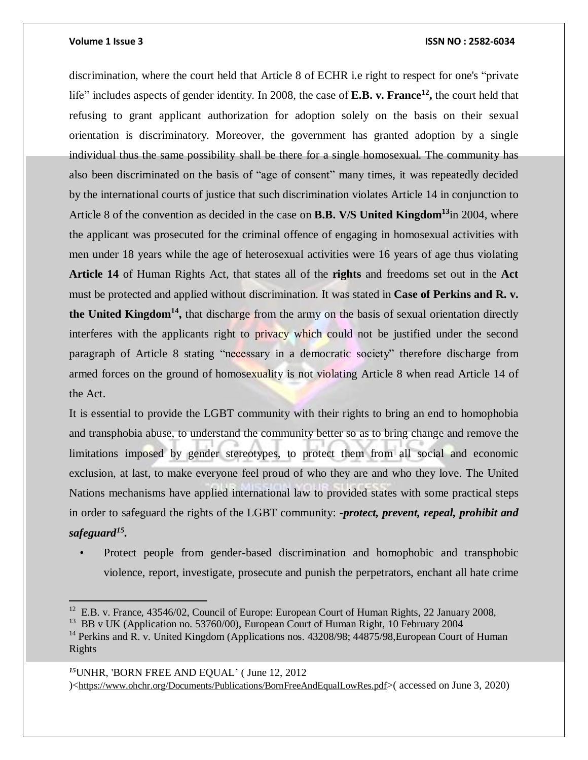### **Volume 1 Issue 3 ISSN NO : 2582-6034**

discrimination, where the court held that Article 8 of ECHR i.e right to respect for one's "private life" includes aspects of gender identity. In 2008, the case of **E.B. v. France<sup>12</sup> ,** the court held that refusing to grant applicant authorization for adoption solely on the basis on their sexual orientation is discriminatory. Moreover, the government has granted adoption by a single individual thus the same possibility shall be there for a single homosexual. The community has also been discriminated on the basis of "age of consent" many times, it was repeatedly decided by the international courts of justice that such discrimination violates Article 14 in conjunction to Article 8 of the convention as decided in the case on **B.B. V/S United Kingdom<sup>13</sup>**in 2004, where the applicant was prosecuted for the criminal offence of engaging in homosexual activities with men under 18 years while the age of heterosexual activities were 16 years of age thus violating **Article 14** of Human Rights Act, that states all of the **rights** and freedoms set out in the **Act** must be protected and applied without discrimination. It was stated in **Case of Perkins and R. v. the United Kingdom<sup>14</sup> ,** that discharge from the army on the basis of sexual orientation directly interferes with the applicants right to privacy which could not be justified under the second paragraph of Article 8 stating "necessary in a democratic society" therefore discharge from armed forces on the ground of homosexuality is not violating Article 8 when read Article 14 of the Act.

It is essential to provide the LGBT community with their rights to bring an end to homophobia and transphobia abuse, to understand the community better so as to bring change and remove the limitations imposed by gender stereotypes, to protect them from all social and economic exclusion, at last, to make everyone feel proud of who they are and who they love. The United Nations mechanisms have applied international law to provided states with some practical steps in order to safeguard the rights of the LGBT community: -*protect, prevent, repeal, prohibit and safeguard<sup>15</sup> .*

• Protect people from gender-based discrimination and homophobic and transphobic violence, report, investigate, prosecute and punish the perpetrators, enchant all hate crime

## *<sup>15</sup>*UNHR, 'BORN FREE AND EQUAL' ( June 12, 2012 )<<https://www.ohchr.org/Documents/Publications/BornFreeAndEqualLowRes.pdf>>( accessed on June 3, 2020)

<sup>&</sup>lt;sup>12</sup> E.B. v. France, 43546/02, Council of Europe: European Court of Human Rights, 22 January 2008,

<sup>&</sup>lt;sup>13</sup> BB v UK (Application no. 53760/00), European Court of Human Right, 10 February 2004

<sup>&</sup>lt;sup>14</sup> Perkins and R. v. United Kingdom (Applications nos. 43208/98; 44875/98, European Court of Human Rights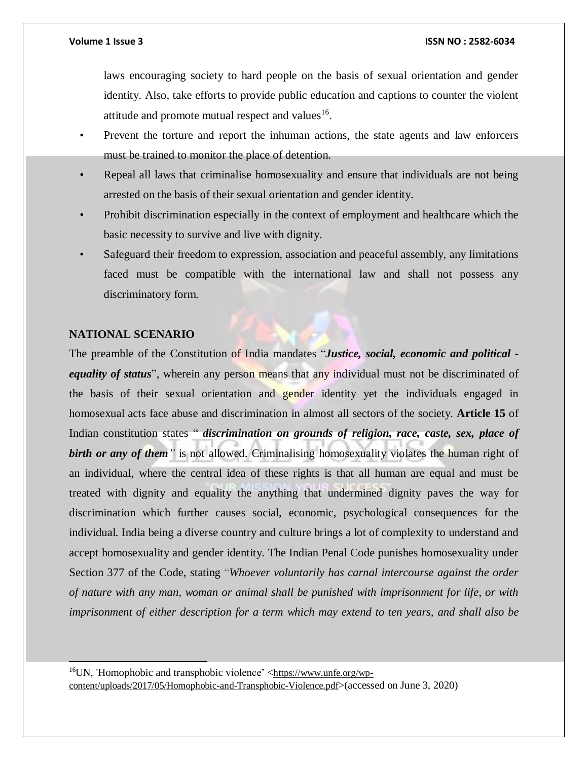laws encouraging society to hard people on the basis of sexual orientation and gender identity. Also, take efforts to provide public education and captions to counter the violent attitude and promote mutual respect and values $^{16}$ .

- Prevent the torture and report the inhuman actions, the state agents and law enforcers must be trained to monitor the place of detention.
- Repeal all laws that criminalise homosexuality and ensure that individuals are not being arrested on the basis of their sexual orientation and gender identity.
- Prohibit discrimination especially in the context of employment and healthcare which the basic necessity to survive and live with dignity.
- Safeguard their freedom to expression, association and peaceful assembly, any limitations faced must be compatible with the international law and shall not possess any discriminatory form.

## **NATIONAL SCENARIO**

 $\overline{\phantom{a}}$ 

The preamble of the Constitution of India mandates "*Justice, social, economic and political equality of status*", wherein any person means that any individual must not be discriminated of the basis of their sexual orientation and gender identity yet the individuals engaged in homosexual acts face abuse and discrimination in almost all sectors of the society. **Article 15** of Indian constitution states " *discrimination on grounds of religion, race, caste, sex, place of birth or any of them"* is not allowed. Criminalising homosexuality violates the human right of an individual, where the central idea of these rights is that all human are equal and must be treated with dignity and equality the anything that undermined dignity paves the way for discrimination which further causes social, economic, psychological consequences for the individual. India being a diverse country and culture brings a lot of complexity to understand and accept homosexuality and gender identity. The Indian Penal Code punishes homosexuality under Section 377 of the Code, stating "*Whoever voluntarily has carnal intercourse against the order of nature with any man, woman or animal shall be punished with imprisonment for life, or with imprisonment of either description for a term which may extend to ten years, and shall also be*

 $16$ UN, 'Homophobic and transphobic violence' <[https://www.unfe.org/wp](https://www.unfe.org/wp-content/uploads/2017/05/Homophobic-and-Transphobic-Violence.pdf)[content/uploads/2017/05/Homophobic-and-Transphobic-Violence.pdf](https://www.unfe.org/wp-content/uploads/2017/05/Homophobic-and-Transphobic-Violence.pdf)>(accessed on June 3, 2020)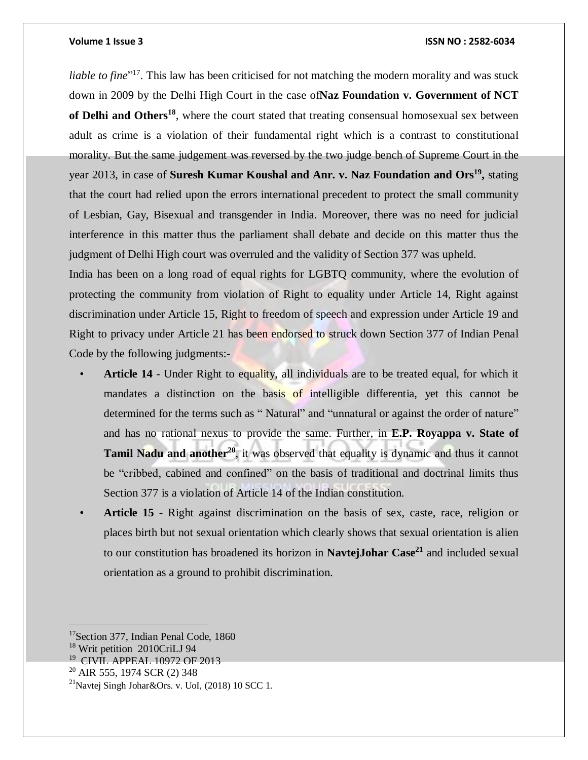liable to fine<sup>"17</sup>. This law has been criticised for not matching the modern morality and was stuck down in 2009 by the Delhi High Court in the case of**Naz Foundation v. Government of NCT of Delhi and Others<sup>18</sup>** , where the court stated that treating consensual homosexual sex between adult as crime is a violation of their fundamental right which is a contrast to constitutional morality. But the same judgement was reversed by the two judge bench of Supreme Court in the year 2013, in case of **Suresh Kumar Koushal and Anr. v. Naz Foundation and Ors<sup>19</sup> ,** stating that the court had relied upon the errors international precedent to protect the small community of Lesbian, Gay, Bisexual and transgender in India. Moreover, there was no need for judicial interference in this matter thus the parliament shall debate and decide on this matter thus the judgment of Delhi High court was overruled and the validity of Section 377 was upheld.

India has been on a long road of equal rights for LGBTQ community, where the evolution of protecting the community from violation of Right to equality under Article 14, Right against discrimination under Article 15, Right to freedom of speech and expression under Article 19 and Right to privacy under Article 21 has been endorsed to struck down Section 377 of Indian Penal Code by the following judgments:-

- **Article 14** Under Right to equality, all individuals are to be treated equal, for which it mandates a distinction on the basis of intelligible differentia, yet this cannot be determined for the terms such as "Natural" and "unnatural or against the order of nature" and has no rational nexus to provide the same. Further, in **E.P. Royappa v. State of Tamil Nadu and another<sup>20</sup>** , it was observed that equality is dynamic and thus it cannot be "cribbed, cabined and confined" on the basis of traditional and doctrinal limits thus Section 377 is a violation of Article 14 of the Indian constitution.
- **Article 15** Right against discrimination on the basis of sex, caste, race, religion or places birth but not sexual orientation which clearly shows that sexual orientation is alien to our constitution has broadened its horizon in **NavtejJohar Case<sup>21</sup>** and included sexual orientation as a ground to prohibit discrimination.

<sup>&</sup>lt;sup>17</sup>Section 377, Indian Penal Code, 1860

<sup>18</sup> Writ petition 2010CriLJ 94

<sup>19</sup> CIVIL APPEAL 10972 OF 2013

 $20$  AIR 555, 1974 SCR (2) 348

<sup>&</sup>lt;sup>21</sup>Navtej Singh Johar&Ors. v. UoI,  $(2018)$  10 SCC 1.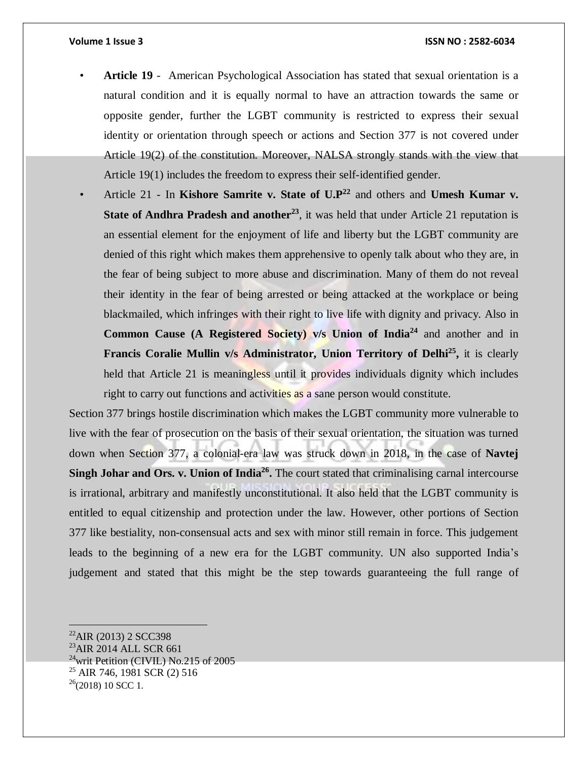- **Article 19** American Psychological Association has stated that sexual orientation is a natural condition and it is equally normal to have an attraction towards the same or opposite gender, further the LGBT community is restricted to express their sexual identity or orientation through speech or actions and Section 377 is not covered under Article 19(2) of the constitution. Moreover, NALSA strongly stands with the view that Article 19(1) includes the freedom to express their self-identified gender.
- Article 21 In **Kishore Samrite v. State of U.P<sup>22</sup>** and others and **Umesh Kumar v. State of Andhra Pradesh and another<sup>23</sup>** , it was held that under Article 21 reputation is an essential element for the enjoyment of life and liberty but the LGBT community are denied of this right which makes them apprehensive to openly talk about who they are, in the fear of being subject to more abuse and discrimination. Many of them do not reveal their identity in the fear of being arrested or being attacked at the workplace or being blackmailed, which infringes with their right to live life with dignity and privacy. Also in **Common Cause (A Registered Society) v/s Union of India<sup>24</sup>** and another and in **Francis Coralie Mullin v/s Administrator, Union Territory of Delhi<sup>25</sup> ,** it is clearly held that Article 21 is meaningless until it provides individuals dignity which includes right to carry out functions and activities as a sane person would constitute.

Section 377 brings hostile discrimination which makes the LGBT community more vulnerable to live with the fear of prosecution on the basis of their sexual orientation, the situation was turned down when Section 377, a colonial-era law was struck down in 2018, in the case of **Navtej Singh Johar and Ors. v. Union of India<sup>26</sup> .** The court stated that criminalising carnal intercourse is irrational, arbitrary and manifestly unconstitutional. It also held that the LGBT community is entitled to equal citizenship and protection under the law. However, other portions of Section 377 like bestiality, non-consensual acts and sex with minor still remain in force. This judgement leads to the beginning of a new era for the LGBT community. UN also supported India's judgement and stated that this might be the step towards guaranteeing the full range of

  $^{22}$ AIR (2013) 2 SCC398 <sup>23</sup>AIR 2014 ALL SCR 661  $24$ writ Petition (CIVIL) No.215 of 2005 <sup>25</sup> AIR 746, 1981 SCR (2) 516  $26(2018)$  10 SCC 1.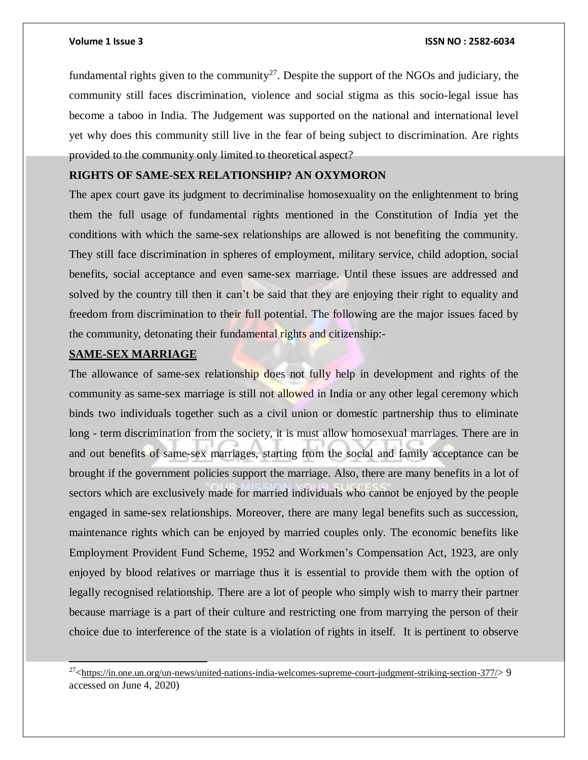fundamental rights given to the community<sup>27</sup>. Despite the support of the NGOs and judiciary, the community still faces discrimination, violence and social stigma as this socio-legal issue has become a taboo in India. The Judgement was supported on the national and international level yet why does this community still live in the fear of being subject to discrimination. Are rights provided to the community only limited to theoretical aspect?

## **RIGHTS OF SAME-SEX RELATIONSHIP? AN OXYMORON**

The apex court gave its judgment to decriminalise homosexuality on the enlightenment to bring them the full usage of fundamental rights mentioned in the Constitution of India yet the conditions with which the same-sex relationships are allowed is not benefiting the community. They still face discrimination in spheres of employment, military service, child adoption, social benefits, social acceptance and even same-sex marriage. Until these issues are addressed and solved by the country till then it can't be said that they are enjoying their right to equality and freedom from discrimination to their full potential. The following are the major issues faced by the community, detonating their fundamental rights and citizenship:-

## **SAME-SEX MARRIAGE**

 $\overline{\phantom{a}}$ 

The allowance of same-sex relationship does not fully help in development and rights of the community as same-sex marriage is still not allowed in India or any other legal ceremony which binds two individuals together such as a civil union or domestic partnership thus to eliminate long - term discrimination from the society, it is must allow homosexual marriages. There are in and out benefits of same-sex marriages, starting from the social and family acceptance can be brought if the government policies support the marriage. Also, there are many benefits in a lot of sectors which are exclusively made for married individuals who cannot be enjoyed by the people engaged in same-sex relationships. Moreover, there are many legal benefits such as succession, maintenance rights which can be enjoyed by married couples only. The economic benefits like Employment Provident Fund Scheme, 1952 and Workmen's Compensation Act, 1923, are only enjoyed by blood relatives or marriage thus it is essential to provide them with the option of legally recognised relationship. There are a lot of people who simply wish to marry their partner because marriage is a part of their culture and restricting one from marrying the person of their choice due to interference of the state is a violation of rights in itself. It is pertinent to observe

 $^{27}$   $\leq$ <https://in.one.un.org/un-news/united-nations-india-welcomes-supreme-court-judgment-striking-section-377/> $>9$ accessed on June 4, 2020)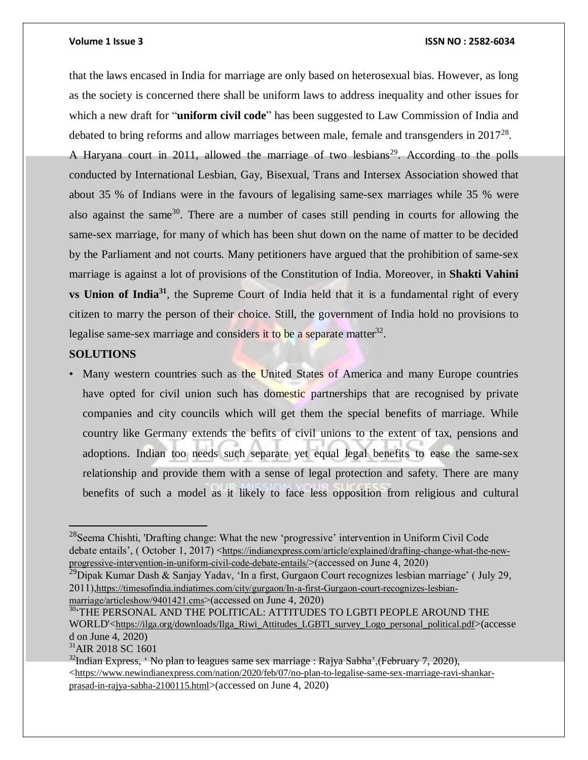that the laws encased in India for marriage are only based on heterosexual bias. However, as long as the society is concerned there shall be uniform laws to address inequality and other issues for which a new draft for "**uniform civil code**" has been suggested to Law Commission of India and debated to bring reforms and allow marriages between male, female and transgenders in  $2017^{28}$ .

A Haryana court in 2011, allowed the marriage of two lesbians<sup>29</sup>. According to the polls conducted by International Lesbian, Gay, Bisexual, Trans and Intersex Association showed that about 35 % of Indians were in the favours of legalising same-sex marriages while 35 % were also against the same<sup>30</sup>. There are a number of cases still pending in courts for allowing the same-sex marriage, for many of which has been shut down on the name of matter to be decided by the Parliament and not courts. Many petitioners have argued that the prohibition of same-sex marriage is against a lot of provisions of the Constitution of India. Moreover, in **Shakti Vahini vs Union of India<sup>31</sup>** , the Supreme Court of India held that it is a fundamental right of every citizen to marry the person of their choice. Still, the government of India hold no provisions to legalise same-sex marriage and considers it to be a separate matter<sup>32</sup>.

## **SOLUTIONS**

• Many western countries such as the United States of America and many Europe countries have opted for civil union such has domestic partnerships that are recognised by private companies and city councils which will get them the special benefits of marriage. While country like Germany extends the befits of civil unions to the extent of tax, pensions and adoptions. Indian too needs such separate yet equal legal benefits to ease the same-sex relationship and provide them with a sense of legal protection and safety. There are many benefits of such a model as it likely to face less opposition from religious and cultural

<sup>31</sup>AIR 2018 SC 1601

 $^{28}$ Seema Chishti, 'Drafting change: What the new 'progressive' intervention in Uniform Civil Code debate entails', ( October 1, 2017) <[https://indianexpress.com/article/explained/drafting-change-what-the-new](https://indianexpress.com/article/explained/drafting-change-what-the-new-progressive-intervention-in-uniform-civil-code-debate-entails/)[progressive-intervention-in-uniform-civil-code-debate-entails/](https://indianexpress.com/article/explained/drafting-change-what-the-new-progressive-intervention-in-uniform-civil-code-debate-entails/)>(accessed on June 4, 2020)

<sup>&</sup>lt;sup>29</sup>Dipak Kumar Dash & Sanjay Yadav, 'In a first, Gurgaon Court recognizes lesbian marriage' (July 29, 2011),[https://timesofindia.indiatimes.com/city/gurgaon/In-a-first-Gurgaon-court-recognizes-lesbian](https://timesofindia.indiatimes.com/city/gurgaon/In-a-first-Gurgaon-court-recognizes-lesbian-marriage/articleshow/9401421.cms)[marriage/articleshow/9401421.cms](https://timesofindia.indiatimes.com/city/gurgaon/In-a-first-Gurgaon-court-recognizes-lesbian-marriage/articleshow/9401421.cms)>(accessed on June 4, 2020)

<sup>30</sup>'THE PERSONAL AND THE POLITICAL: ATTITUDES TO LGBTI PEOPLE AROUND THE WORLD'<[https://ilga.org/downloads/Ilga\\_Riwi\\_Attitudes\\_LGBTI\\_survey\\_Logo\\_personal\\_political.pdf](https://ilga.org/downloads/Ilga_Riwi_Attitudes_LGBTI_survey_Logo_personal_political.pdf)>(accesse d on June 4, 2020)

<sup>&</sup>lt;sup>32</sup>Indian Express, 'No plan to leagues same sex marriage : Rajya Sabha', (February 7, 2020), <[https://www.newindianexpress.com/nation/2020/feb/07/no-plan-to-legalise-same-sex-marriage-ravi-shankar](https://www.newindianexpress.com/nation/2020/feb/07/no-plan-to-legalise-same-sex-marriage-ravi-shankar-prasad-in-rajya-sabha-2100115.html)[prasad-in-rajya-sabha-2100115.html](https://www.newindianexpress.com/nation/2020/feb/07/no-plan-to-legalise-same-sex-marriage-ravi-shankar-prasad-in-rajya-sabha-2100115.html)>(accessed on June 4, 2020)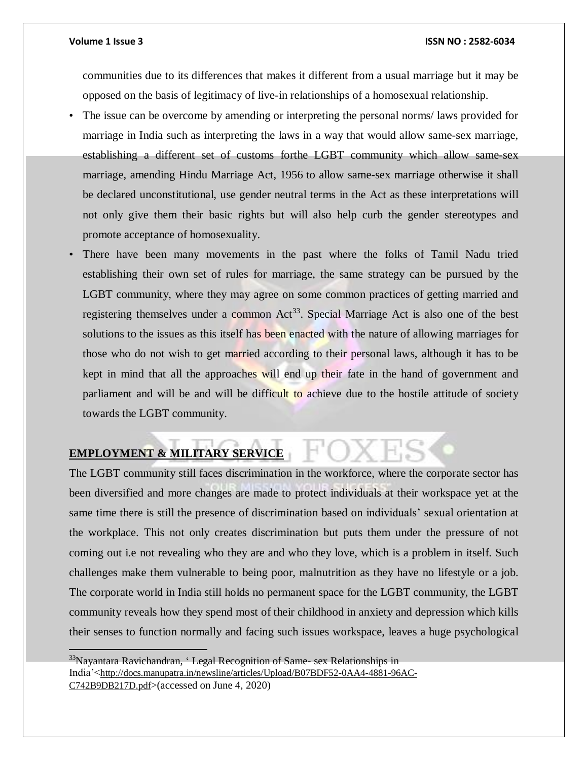communities due to its differences that makes it different from a usual marriage but it may be opposed on the basis of legitimacy of live-in relationships of a homosexual relationship.

- The issue can be overcome by amending or interpreting the personal norms/ laws provided for marriage in India such as interpreting the laws in a way that would allow same-sex marriage, establishing a different set of customs forthe LGBT community which allow same-sex marriage, amending Hindu Marriage Act, 1956 to allow same-sex marriage otherwise it shall be declared unconstitutional, use gender neutral terms in the Act as these interpretations will not only give them their basic rights but will also help curb the gender stereotypes and promote acceptance of homosexuality.
- There have been many movements in the past where the folks of Tamil Nadu tried establishing their own set of rules for marriage, the same strategy can be pursued by the LGBT community, where they may agree on some common practices of getting married and registering themselves under a common Act<sup>33</sup>. Special Marriage Act is also one of the best solutions to the issues as this itself has been enacted with the nature of allowing marriages for those who do not wish to get married according to their personal laws, although it has to be kept in mind that all the approaches will end up their fate in the hand of government and parliament and will be and will be difficult to achieve due to the hostile attitude of society towards the LGBT community.

## **EMPLOYMENT & MILITARY SERVICE**

The LGBT community still faces discrimination in the workforce, where the corporate sector has been diversified and more changes are made to protect individuals at their workspace yet at the same time there is still the presence of discrimination based on individuals' sexual orientation at the workplace. This not only creates discrimination but puts them under the pressure of not coming out i.e not revealing who they are and who they love, which is a problem in itself. Such challenges make them vulnerable to being poor, malnutrition as they have no lifestyle or a job. The corporate world in India still holds no permanent space for the LGBT community, the LGBT community reveals how they spend most of their childhood in anxiety and depression which kills their senses to function normally and facing such issues workspace, leaves a huge psychological

 $33$ Nayantara Ravichandran, 'Legal Recognition of Same-sex Relationships in India'<[http://docs.manupatra.in/newsline/articles/Upload/B07BDF52-0AA4-4881-96AC-](http://docs.manupatra.in/newsline/articles/Upload/B07BDF52-0AA4-4881-96AC-C742B9DB217D.pdf)[C742B9DB217D.pdf](http://docs.manupatra.in/newsline/articles/Upload/B07BDF52-0AA4-4881-96AC-C742B9DB217D.pdf)>(accessed on June 4, 2020)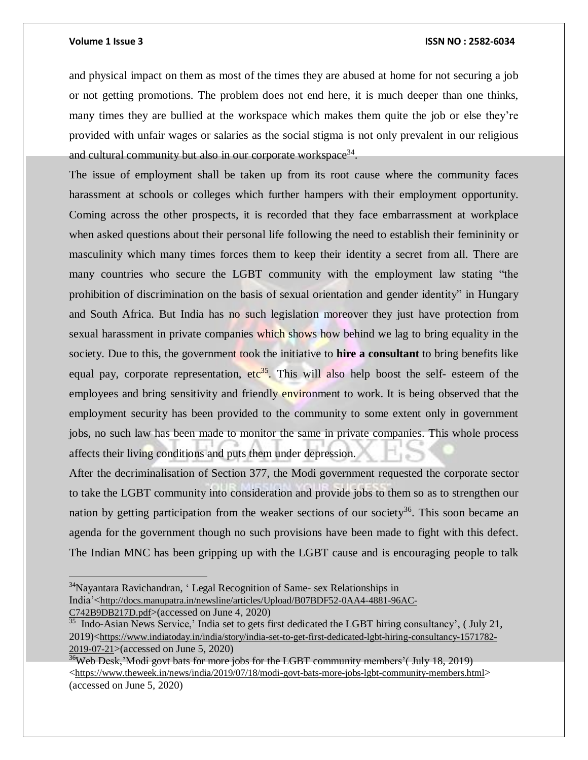### **Volume 1 Issue 3 ISSN NO : 2582-6034**

and physical impact on them as most of the times they are abused at home for not securing a job or not getting promotions. The problem does not end here, it is much deeper than one thinks, many times they are bullied at the workspace which makes them quite the job or else they're provided with unfair wages or salaries as the social stigma is not only prevalent in our religious and cultural community but also in our corporate workspace<sup>34</sup>.

The issue of employment shall be taken up from its root cause where the community faces harassment at schools or colleges which further hampers with their employment opportunity. Coming across the other prospects, it is recorded that they face embarrassment at workplace when asked questions about their personal life following the need to establish their femininity or masculinity which many times forces them to keep their identity a secret from all. There are many countries who secure the LGBT community with the employment law stating "the prohibition of discrimination on the basis of sexual orientation and gender identity" in Hungary and South Africa. But India has no such legislation moreover they just have protection from sexual harassment in private companies which shows how behind we lag to bring equality in the society. Due to this, the government took the initiative to **hire a consultant** to bring benefits like equal pay, corporate representation, etc<sup>35</sup>. This will also help boost the self- esteem of the employees and bring sensitivity and friendly environment to work. It is being observed that the employment security has been provided to the community to some extent only in government jobs, no such law has been made to monitor the same in private companies. This whole process affects their living conditions and puts them under depression.

After the decriminalisation of Section 377, the Modi government requested the corporate sector to take the LGBT community into consideration and provide jobs to them so as to strengthen our nation by getting participation from the weaker sections of our society<sup>36</sup>. This soon became an agenda for the government though no such provisions have been made to fight with this defect. The Indian MNC has been gripping up with the LGBT cause and is encouraging people to talk

<sup>&</sup>lt;sup>34</sup>Nayantara Ravichandran, 'Legal Recognition of Same- sex Relationships in India'<[http://docs.manupatra.in/newsline/articles/Upload/B07BDF52-0AA4-4881-96AC-](http://docs.manupatra.in/newsline/articles/Upload/B07BDF52-0AA4-4881-96AC-C742B9DB217D.pdf)[C742B9DB217D.pdf](http://docs.manupatra.in/newsline/articles/Upload/B07BDF52-0AA4-4881-96AC-C742B9DB217D.pdf)>(accessed on June 4, 2020)

 $35$  Indo-Asian News Service,' India set to gets first dedicated the LGBT hiring consultancy', (July 21, 2019)<[https://www.indiatoday.in/india/story/india-set-to-get-first-dedicated-lgbt-hiring-consultancy-1571782-](https://www.indiatoday.in/india/story/india-set-to-get-first-dedicated-lgbt-hiring-consultancy-1571782-2019-07-21) [2019-07-21](https://www.indiatoday.in/india/story/india-set-to-get-first-dedicated-lgbt-hiring-consultancy-1571782-2019-07-21)>(accessed on June 5, 2020)

<sup>&</sup>lt;sup>36</sup>Web Desk,'Modi govt bats for more jobs for the LGBT community members'(July 18, 2019) <<https://www.theweek.in/news/india/2019/07/18/modi-govt-bats-more-jobs-lgbt-community-members.html>> (accessed on June 5, 2020)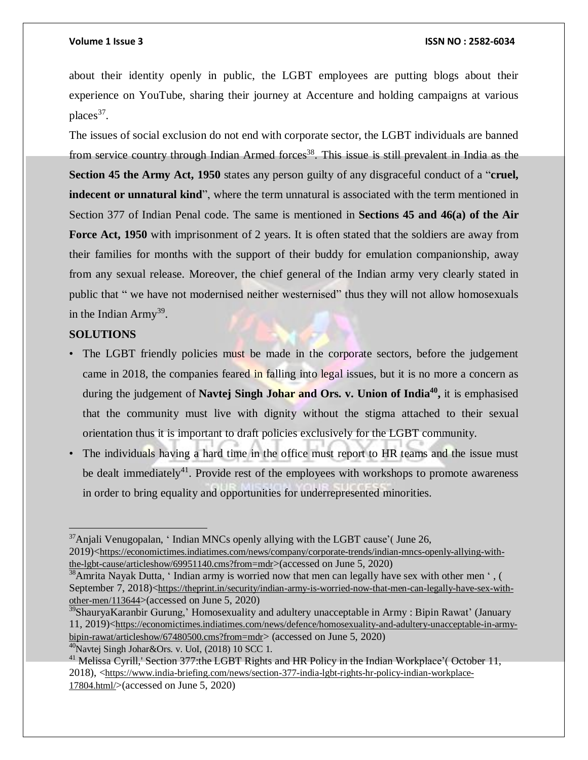about their identity openly in public, the LGBT employees are putting blogs about their experience on YouTube, sharing their journey at Accenture and holding campaigns at various places<sup>37</sup>.

The issues of social exclusion do not end with corporate sector, the LGBT individuals are banned from service country through Indian Armed forces<sup>38</sup>. This issue is still prevalent in India as the **Section 45 the Army Act, 1950** states any person guilty of any disgraceful conduct of a "**cruel, indecent or unnatural kind**", where the term unnatural is associated with the term mentioned in Section 377 of Indian Penal code. The same is mentioned in **Sections 45 and 46(a) of the Air Force Act, 1950** with imprisonment of 2 years. It is often stated that the soldiers are away from their families for months with the support of their buddy for emulation companionship, away from any sexual release. Moreover, the chief general of the Indian army very clearly stated in public that " we have not modernised neither westernised" thus they will not allow homosexuals in the Indian Army<sup>39</sup>.

## **SOLUTIONS**

 $\overline{a}$ 

- The LGBT friendly policies must be made in the corporate sectors, before the judgement came in 2018, the companies feared in falling into legal issues, but it is no more a concern as during the judgement of **Navtej Singh Johar and Ors. v. Union of India<sup>40</sup> ,** it is emphasised that the community must live with dignity without the stigma attached to their sexual orientation thus it is important to draft policies exclusively for the LGBT community.
- The individuals having a hard time in the office must report to HR teams and the issue must be dealt immediately<sup>41</sup>. Provide rest of the employees with workshops to promote awareness in order to bring equality and opportunities for underrepresented minorities.

<sup>&</sup>lt;sup>37</sup>Anjali Venugopalan, 'Indian MNCs openly allying with the LGBT cause'( June 26, 2019)<[https://economictimes.indiatimes.com/news/company/corporate-trends/indian-mncs-openly-allying-with](https://economictimes.indiatimes.com/news/company/corporate-trends/indian-mncs-openly-allying-with-the-lgbt-cause/articleshow/69951140.cms?from=mdr)[the-lgbt-cause/articleshow/69951140.cms?from=mdr](https://economictimes.indiatimes.com/news/company/corporate-trends/indian-mncs-openly-allying-with-the-lgbt-cause/articleshow/69951140.cms?from=mdr)>(accessed on June 5, 2020)

<sup>&</sup>lt;sup>38</sup>Amrita Nayak Dutta, 'Indian army is worried now that men can legally have sex with other men ', ( September 7, 2018)<[https://theprint.in/security/indian-army-is-worried-now-that-men-can-legally-have-sex-with](https://theprint.in/security/indian-army-is-worried-now-that-men-can-legally-have-sex-with-other-men/113644)[other-men/113644](https://theprint.in/security/indian-army-is-worried-now-that-men-can-legally-have-sex-with-other-men/113644)>(accessed on June 5, 2020)

<sup>&</sup>lt;sup>39</sup>ShauryaKaranbir Gurung,' Homosexuality and adultery unacceptable in Army : Bipin Rawat' (January 11, 2019)<[https://economictimes.indiatimes.com/news/defence/homosexuality-and-adultery-unacceptable-in-army](https://economictimes.indiatimes.com/news/defence/homosexuality-and-adultery-unacceptable-in-army-bipin-rawat/articleshow/67480500.cms?from=mdr)[bipin-rawat/articleshow/67480500.cms?from=mdr](https://economictimes.indiatimes.com/news/defence/homosexuality-and-adultery-unacceptable-in-army-bipin-rawat/articleshow/67480500.cms?from=mdr)> (accessed on June 5, 2020) <sup>40</sup>Navtej Singh Johar&Ors. v. UoI, (2018) 10 SCC 1.

<sup>&</sup>lt;sup>41</sup> Melissa Cyrill,' Section 377:the LGBT Rights and HR Policy in the Indian Workplace'( October 11, 2018), <[https://www.india-briefing.com/news/section-377-india-lgbt-rights-hr-policy-indian-workplace-](https://www.india-briefing.com/news/section-377-india-lgbt-rights-hr-policy-indian-workplace-17804.html/)[17804.html/](https://www.india-briefing.com/news/section-377-india-lgbt-rights-hr-policy-indian-workplace-17804.html/)>(accessed on June 5, 2020)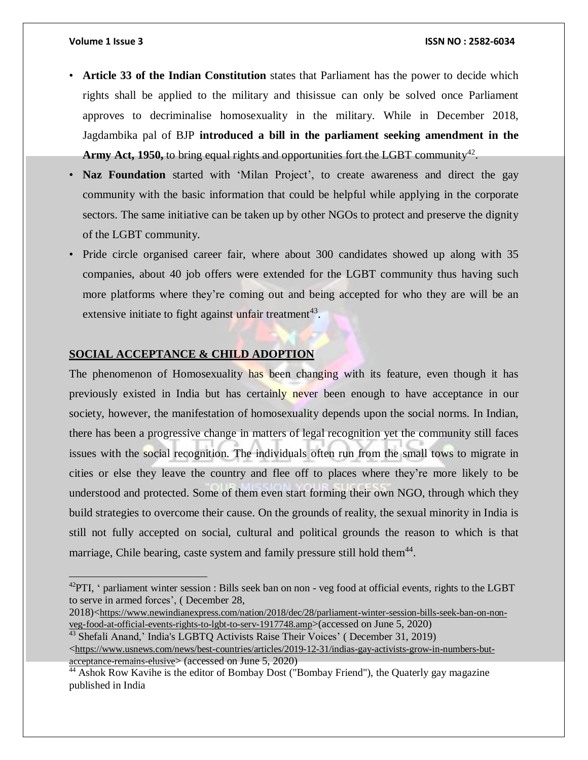- **Article 33 of the Indian Constitution** states that Parliament has the power to decide which rights shall be applied to the military and thisissue can only be solved once Parliament approves to decriminalise homosexuality in the military. While in December 2018, Jagdambika pal of BJP **introduced a bill in the parliament seeking amendment in the** Army Act, 1950, to bring equal rights and opportunities fort the LGBT community<sup>42</sup>.
- **Naz Foundation** started with 'Milan Project', to create awareness and direct the gay community with the basic information that could be helpful while applying in the corporate sectors. The same initiative can be taken up by other NGOs to protect and preserve the dignity of the LGBT community.
- Pride circle organised career fair, where about 300 candidates showed up along with 35 companies, about 40 job offers were extended for the LGBT community thus having such more platforms where they're coming out and being accepted for who they are will be an extensive initiate to fight against unfair treatment<sup>43</sup>.

## **SOCIAL ACCEPTANCE & CHILD ADOPTION**

The phenomenon of Homosexuality has been changing with its feature, even though it has previously existed in India but has certainly never been enough to have acceptance in our society, however, the manifestation of homosexuality depends upon the social norms. In Indian, there has been a progressive change in matters of legal recognition yet the community still faces issues with the social recognition. The individuals often run from the small tows to migrate in cities or else they leave the country and flee off to places where they're more likely to be understood and protected. Some of them even start forming their own NGO, through which they build strategies to overcome their cause. On the grounds of reality, the sexual minority in India is still not fully accepted on social, cultural and political grounds the reason to which is that marriage, Chile bearing, caste system and family pressure still hold them<sup>44</sup>.

2018)<[https://www.newindianexpress.com/nation/2018/dec/28/parliament-winter-session-bills-seek-ban-on-non](https://www.newindianexpress.com/nation/2018/dec/28/parliament-winter-session-bills-seek-ban-on-non-veg-food-at-official-events-rights-to-lgbt-to-serv-1917748.amp)[veg-food-at-official-events-rights-to-lgbt-to-serv-1917748.amp](https://www.newindianexpress.com/nation/2018/dec/28/parliament-winter-session-bills-seek-ban-on-non-veg-food-at-official-events-rights-to-lgbt-to-serv-1917748.amp)>(accessed on June 5, 2020)

<sup>43</sup> Shefali Anand,' India's LGBTQ Activists Raise Their Voices' (December 31, 2019)

 $^{42}$ PTI, ' parliament winter session : Bills seek ban on non - veg food at official events, rights to the LGBT to serve in armed forces', ( December 28,

 $\lt$ [https://www.usnews.com/news/best-countries/articles/2019-12-31/indias-gay-activists-grow-in-numbers-but](https://www.usnews.com/news/best-countries/articles/2019-12-31/indias-gay-activists-grow-in-numbers-but-acceptance-remains-elusive)[acceptance-remains-elusive](https://www.usnews.com/news/best-countries/articles/2019-12-31/indias-gay-activists-grow-in-numbers-but-acceptance-remains-elusive)> (accessed on June 5, 2020)

 $44$  Ashok Row Kavihe is the editor of Bombay Dost ("Bombay Friend"), the Quaterly gay magazine published in India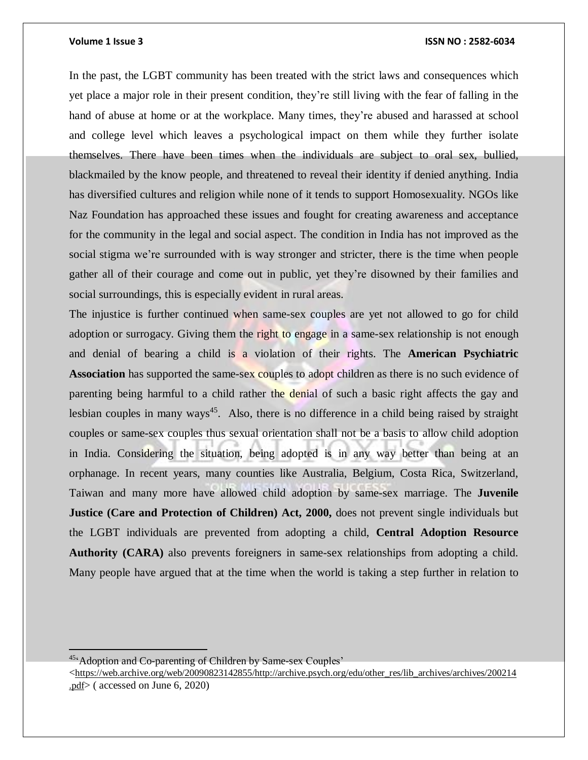In the past, the LGBT community has been treated with the strict laws and consequences which yet place a major role in their present condition, they're still living with the fear of falling in the hand of abuse at home or at the workplace. Many times, they're abused and harassed at school and college level which leaves a psychological impact on them while they further isolate themselves. There have been times when the individuals are subject to oral sex, bullied, blackmailed by the know people, and threatened to reveal their identity if denied anything. India has diversified cultures and religion while none of it tends to support Homosexuality. NGOs like Naz Foundation has approached these issues and fought for creating awareness and acceptance for the community in the legal and social aspect. The condition in India has not improved as the social stigma we're surrounded with is way stronger and stricter, there is the time when people gather all of their courage and come out in public, yet they're disowned by their families and social surroundings, this is especially evident in rural areas.

The injustice is further continued when same-sex couples are yet not allowed to go for child adoption or surrogacy. Giving them the right to engage in a same-sex relationship is not enough and denial of bearing a child is a violation of their rights. The **American Psychiatric Association** has supported the same-sex couples to adopt children as there is no such evidence of parenting being harmful to a child rather the denial of such a basic right affects the gay and lesbian couples in many ways<sup>45</sup>. Also, there is no difference in a child being raised by straight couples or same-sex couples thus sexual orientation shall not be a basis to allow child adoption in India. Considering the situation, being adopted is in any way better than being at an orphanage. In recent years, many counties like Australia, Belgium, Costa Rica, Switzerland, Taiwan and many more have allowed child adoption by same-sex marriage. The **Juvenile Justice (Care and Protection of Children) Act, 2000,** does not prevent single individuals but the LGBT individuals are prevented from adopting a child, **Central Adoption Resource Authority (CARA)** also prevents foreigners in same-sex relationships from adopting a child. Many people have argued that at the time when the world is taking a step further in relation to

<sup>45&</sup>lt;sup>c</sup> Adoption and Co-parenting of Children by Same-sex Couples'

 $\langle$ [https://web.archive.org/web/20090823142855/http://archive.psych.org/edu/other\\_res/lib\\_archives/archives/200214](https://web.archive.org/web/20090823142855/http:/archive.psych.org/edu/other_res/lib_archives/archives/200214.pdf) [.pdf](https://web.archive.org/web/20090823142855/http:/archive.psych.org/edu/other_res/lib_archives/archives/200214.pdf)> ( accessed on June 6, 2020)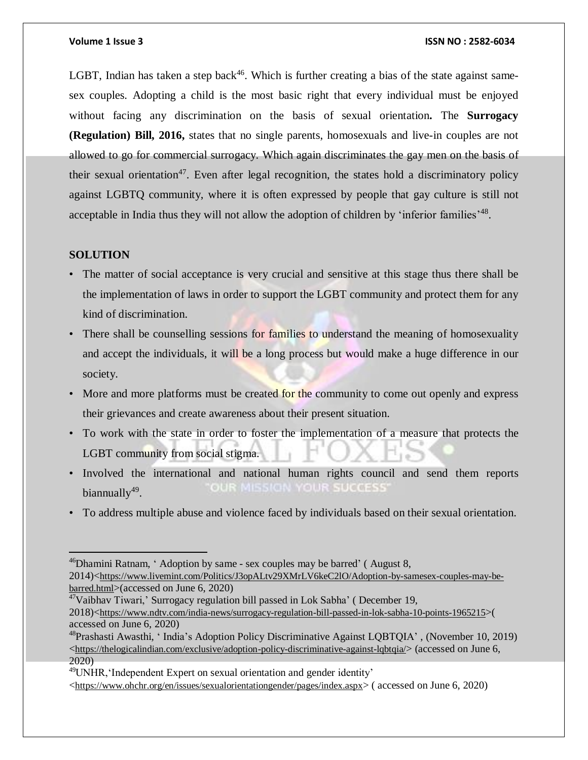LGBT, Indian has taken a step back<sup>46</sup>. Which is further creating a bias of the state against samesex couples. Adopting a child is the most basic right that every individual must be enjoyed without facing any discrimination on the basis of sexual orientation**.** The **Surrogacy (Regulation) Bill, 2016,** states that no single parents, homosexuals and live-in couples are not allowed to go for commercial surrogacy. Which again discriminates the gay men on the basis of their sexual orientation<sup>47</sup>. Even after legal recognition, the states hold a discriminatory policy against LGBTQ community, where it is often expressed by people that gay culture is still not acceptable in India thus they will not allow the adoption of children by 'inferior families'<sup>48</sup>.

## **SOLUTION**

 $\overline{a}$ 

- The matter of social acceptance is very crucial and sensitive at this stage thus there shall be the implementation of laws in order to support the LGBT community and protect them for any kind of discrimination.
- There shall be counselling sessions for families to understand the meaning of homosexuality and accept the individuals, it will be a long process but would make a huge difference in our society.
- More and more platforms must be created for the community to come out openly and express their grievances and create awareness about their present situation.
- To work with the state in order to foster the implementation of a measure that protects the LGBT community from social stigma.
- Involved the international and national human rights council and send them reports OUR MISSION YOUR SUCCESS' biannually<sup>49</sup>.
- To address multiple abuse and violence faced by individuals based on their sexual orientation.

<sup>&</sup>lt;sup>46</sup>Dhamini Ratnam, ' Adoption by same - sex couples may be barred' (August 8,

<sup>2014)&</sup>lt;[https://www.livemint.com/Politics/J3opALtv29XMrLV6keC2lO/Adoption-by-samesex-couples-may-be](https://www.livemint.com/Politics/J3opALtv29XMrLV6keC2lO/Adoption-by-samesex-couples-may-be-barred.html)[barred.html](https://www.livemint.com/Politics/J3opALtv29XMrLV6keC2lO/Adoption-by-samesex-couples-may-be-barred.html)>(accessed on June 6, 2020)

 $47$ Vaibhav Tiwari,' Surrogacy regulation bill passed in Lok Sabha' (December 19,

<sup>2018)&</sup>lt;<https://www.ndtv.com/india-news/surrogacy-regulation-bill-passed-in-lok-sabha-10-points-1965215>>( accessed on June 6, 2020)

<sup>48</sup>Prashasti Awasthi, ' India's Adoption Policy Discriminative Against LQBTQIA' , (November 10, 2019) <<https://thelogicalindian.com/exclusive/adoption-policy-discriminative-against-lqbtqia/>> (accessed on June 6, 2020)

 $49$ UNHR, 'Independent Expert on sexual orientation and gender identity'

 $\langle$ <https://www.ohchr.org/en/issues/sexualorientationgender/pages/index.aspx>> ( accessed on June 6, 2020)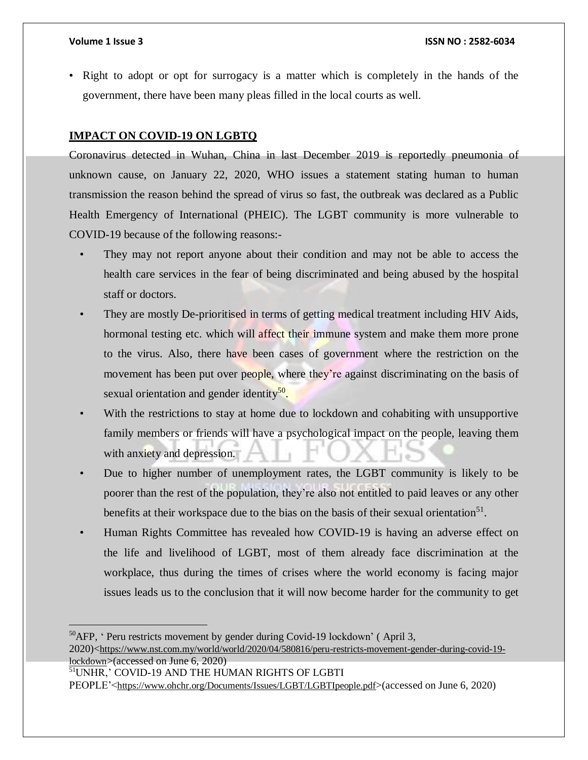• Right to adopt or opt for surrogacy is a matter which is completely in the hands of the government, there have been many pleas filled in the local courts as well.

## **IMPACT ON COVID-19 ON LGBTQ**

Coronavirus detected in Wuhan, China in last December 2019 is reportedly pneumonia of unknown cause, on January 22, 2020, WHO issues a statement stating human to human transmission the reason behind the spread of virus so fast, the outbreak was declared as a Public Health Emergency of International (PHEIC). The LGBT community is more vulnerable to COVID-19 because of the following reasons:-

- They may not report anyone about their condition and may not be able to access the health care services in the fear of being discriminated and being abused by the hospital staff or doctors.
- They are mostly De-prioritised in terms of getting medical treatment including HIV Aids, hormonal testing etc. which will affect their immune system and make them more prone to the virus. Also, there have been cases of government where the restriction on the movement has been put over people, where they're against discriminating on the basis of sexual orientation and gender identity<sup>50</sup>.
- With the restrictions to stay at home due to lockdown and cohabiting with unsupportive family members or friends will have a psychological impact on the people, leaving them with anxiety and depression.
- Due to higher number of unemployment rates, the LGBT community is likely to be poorer than the rest of the population, they're also not entitled to paid leaves or any other benefits at their workspace due to the bias on the basis of their sexual orientation<sup>51</sup>.
- Human Rights Committee has revealed how COVID-19 is having an adverse effect on the life and livelihood of LGBT, most of them already face discrimination at the workplace, thus during the times of crises where the world economy is facing major issues leads us to the conclusion that it will now become harder for the community to get

 ${}^{50}$ AFP, ' Peru restricts movement by gender during Covid-19 lockdown' (April 3,

<sup>2020)&</sup>lt;[https://www.nst.com.my/world/world/2020/04/580816/peru-restricts-movement-gender-during-covid-19](https://www.nst.com.my/world/world/2020/04/580816/peru-restricts-movement-gender-during-covid-19-lockdown) [lockdown](https://www.nst.com.my/world/world/2020/04/580816/peru-restricts-movement-gender-during-covid-19-lockdown)>(accessed on June 6, 2020)

<sup>51</sup>UNHR,' COVID-19 AND THE HUMAN RIGHTS OF LGBTI

PEOPLE'<<https://www.ohchr.org/Documents/Issues/LGBT/LGBTIpeople.pdf>>(accessed on June 6, 2020)